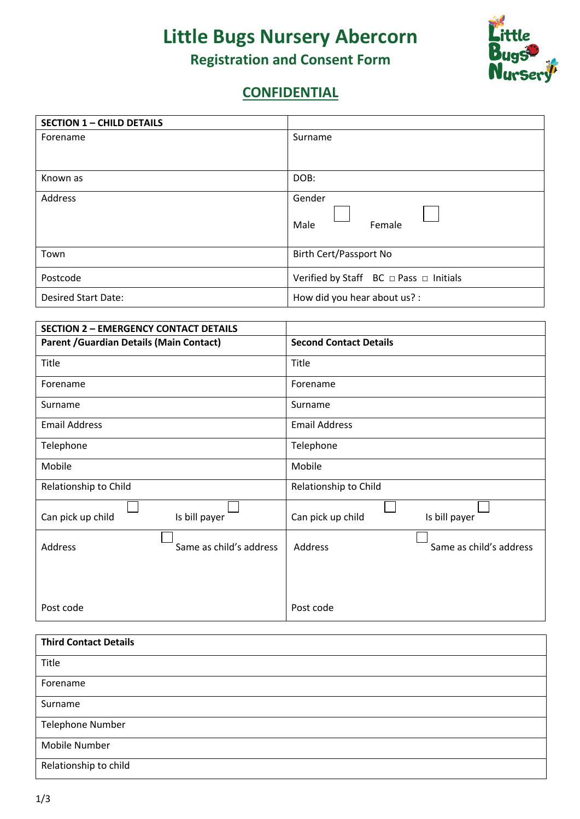## **Little Bugs Nursery Abercorn Registration and Consent Form**



## **CONFIDENTIAL**

| <b>SECTION 1 - CHILD DETAILS</b> |                                                        |  |
|----------------------------------|--------------------------------------------------------|--|
| Forename                         | Surname                                                |  |
|                                  |                                                        |  |
| Known as                         | DOB:                                                   |  |
| Address                          | Gender<br>Female<br>Male                               |  |
| Town                             | Birth Cert/Passport No                                 |  |
| Postcode                         | Verified by Staff $BC \square$ Pass $\square$ Initials |  |
| <b>Desired Start Date:</b>       | How did you hear about us? :                           |  |

| <b>SECTION 2 - EMERGENCY CONTACT DETAILS</b>    |                         |                                    |
|-------------------------------------------------|-------------------------|------------------------------------|
| <b>Parent / Guardian Details (Main Contact)</b> |                         | <b>Second Contact Details</b>      |
| Title                                           |                         | Title                              |
| Forename                                        |                         | Forename                           |
| Surname                                         |                         | Surname                            |
| <b>Email Address</b>                            |                         | <b>Email Address</b>               |
| Telephone                                       |                         | Telephone                          |
| Mobile                                          |                         | Mobile                             |
| Relationship to Child                           |                         | Relationship to Child              |
| Can pick up child                               | Is bill payer           | Can pick up child<br>Is bill payer |
| Address                                         | Same as child's address | Same as child's address<br>Address |
|                                                 |                         |                                    |
| Post code                                       |                         | Post code                          |

| <b>Third Contact Details</b> |
|------------------------------|
| Title                        |
| Forename                     |
| Surname                      |
| <b>Telephone Number</b>      |
| Mobile Number                |
| Relationship to child        |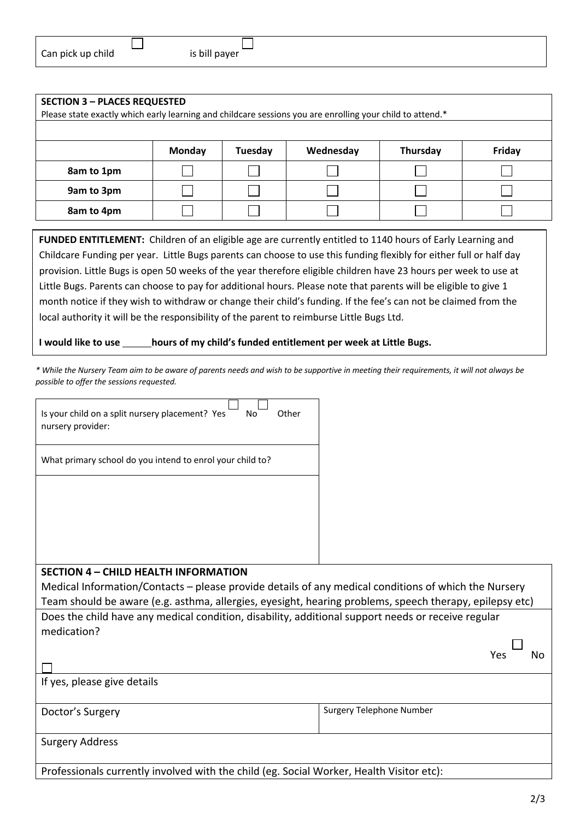| <b>SECTION 3 - PLACES REQUESTED</b><br>Please state exactly which early learning and childcare sessions you are enrolling your child to attend.* |               |         |           |          |        |
|--------------------------------------------------------------------------------------------------------------------------------------------------|---------------|---------|-----------|----------|--------|
|                                                                                                                                                  | <b>Monday</b> | Tuesday | Wednesday | Thursday | Friday |
| 8am to 1pm                                                                                                                                       |               |         |           |          |        |
| 9am to 3pm                                                                                                                                       |               |         |           |          |        |
| 8am to 4pm                                                                                                                                       |               |         |           |          |        |

**FUNDED ENTITLEMENT:** Children of an eligible age are currently entitled to 1140 hours of Early Learning and Childcare Funding per year. Little Bugs parents can choose to use this funding flexibly for either full or half day provision. Little Bugs is open 50 weeks of the year therefore eligible children have 23 hours per week to use at Little Bugs. Parents can choose to pay for additional hours. Please note that parents will be eligible to give 1 month notice if they wish to withdraw or change their child's funding. If the fee's can not be claimed from the local authority it will be the responsibility of the parent to reimburse Little Bugs Ltd.

**I would like to use hours of my child's funded entitlement per week at Little Bugs.** 

*\* While the Nursery Team aim to be aware of parents needs and wish to be supportive in meeting their requirements, it will not always be possible to offer the sessions requested.*

| Is your child on a split nursery placement? Yes<br>Other<br>No<br>nursery provider:                                                                                                                             |                          |
|-----------------------------------------------------------------------------------------------------------------------------------------------------------------------------------------------------------------|--------------------------|
| What primary school do you intend to enrol your child to?                                                                                                                                                       |                          |
|                                                                                                                                                                                                                 |                          |
|                                                                                                                                                                                                                 |                          |
|                                                                                                                                                                                                                 |                          |
| <b>SECTION 4 - CHILD HEALTH INFORMATION</b>                                                                                                                                                                     |                          |
| Medical Information/Contacts – please provide details of any medical conditions of which the Nursery<br>Team should be aware (e.g. asthma, allergies, eyesight, hearing problems, speech therapy, epilepsy etc) |                          |
| Does the child have any medical condition, disability, additional support needs or receive regular<br>medication?                                                                                               |                          |
|                                                                                                                                                                                                                 | N٥<br>Yes                |
| If yes, please give details                                                                                                                                                                                     |                          |
| Doctor's Surgery                                                                                                                                                                                                | Surgery Telephone Number |
| <b>Surgery Address</b>                                                                                                                                                                                          |                          |

Professionals currently involved with the child (eg. Social Worker, Health Visitor etc):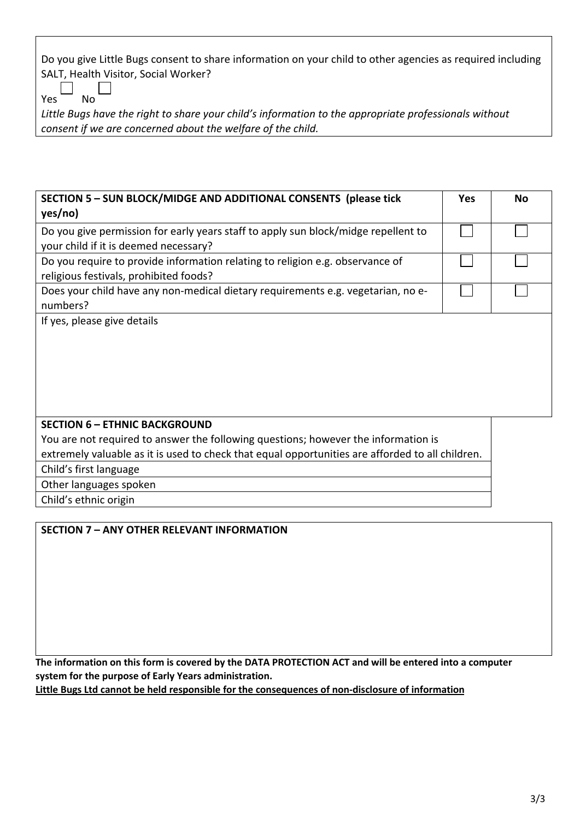Do you give Little Bugs consent to share information on your child to other agencies as required including SALT, Health Visitor, Social Worker?

 $Yes$  No

*Little Bugs have the right to share your child's information to the appropriate professionals without consent if we are concerned about the welfare of the child.*

| SECTION 5 - SUN BLOCK/MIDGE AND ADDITIONAL CONSENTS (please tick<br>yes/no)                                                 | <b>Yes</b> | <b>No</b> |
|-----------------------------------------------------------------------------------------------------------------------------|------------|-----------|
| Do you give permission for early years staff to apply sun block/midge repellent to<br>your child if it is deemed necessary? |            |           |
| Do you require to provide information relating to religion e.g. observance of<br>religious festivals, prohibited foods?     |            |           |
| Does your child have any non-medical dietary requirements e.g. vegetarian, no e-<br>numbers?                                |            |           |
| If yes, please give details                                                                                                 |            |           |

## **SECTION 6 – ETHNIC BACKGROUND**

You are not required to answer the following questions; however the information is extremely valuable as it is used to check that equal opportunities are afforded to all children.

Child's first language

Other languages spoken

Child's ethnic origin

## **SECTION 7 – ANY OTHER RELEVANT INFORMATION**

**The information on this form is covered by the DATA PROTECTION ACT and will be entered into a computer system for the purpose of Early Years administration.**

**Little Bugs Ltd cannot be held responsible for the consequences of non-disclosure of information**